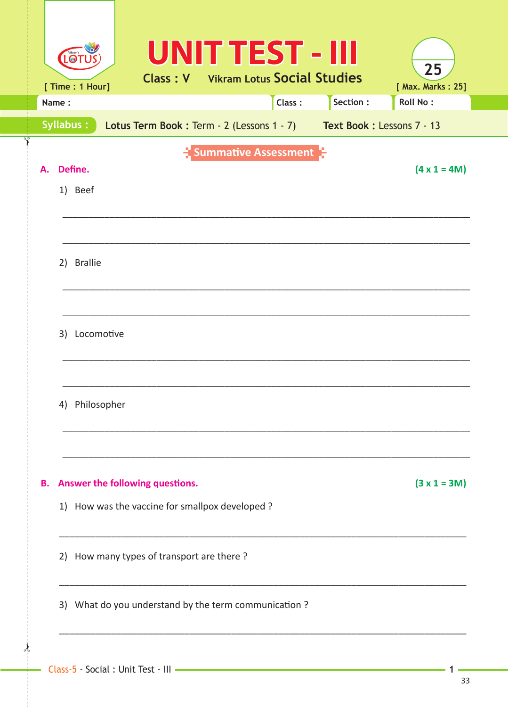| Vikram's<br>LO <sub>1</sub><br>[ Time : 1 Hour]                                  | <b>UNIT TEST - III</b><br><b>Class: V</b> Vikram Lotus Social Studies |          | 25<br>[ Max. Marks: 25] |  |  |  |  |  |  |
|----------------------------------------------------------------------------------|-----------------------------------------------------------------------|----------|-------------------------|--|--|--|--|--|--|
| Name:                                                                            | Class:                                                                | Section: | <b>Roll No:</b>         |  |  |  |  |  |  |
| Syllabus:<br>Lotus Term Book: Term - 2 (Lessons 1 - 7) Text Book: Lessons 7 - 13 |                                                                       |          |                         |  |  |  |  |  |  |
| Define.<br>А.<br>1) Beef                                                         | Summative Assessment                                                  |          | $(4 \times 1 = 4M)$     |  |  |  |  |  |  |
| 2) Brallie                                                                       |                                                                       |          |                         |  |  |  |  |  |  |
| 3) Locomotive                                                                    |                                                                       |          |                         |  |  |  |  |  |  |
| 4) Philosopher                                                                   |                                                                       |          |                         |  |  |  |  |  |  |
| Answer the following questions.<br>В.                                            |                                                                       |          | $(3 x 1 = 3M)$          |  |  |  |  |  |  |
| 1) How was the vaccine for smallpox developed ?                                  |                                                                       |          |                         |  |  |  |  |  |  |
| 2) How many types of transport are there?                                        |                                                                       |          |                         |  |  |  |  |  |  |
| 3) What do you understand by the term communication ?                            |                                                                       |          |                         |  |  |  |  |  |  |
|                                                                                  |                                                                       |          |                         |  |  |  |  |  |  |

 $\frac{1}{2}$ 

 $\mathbf{1}$